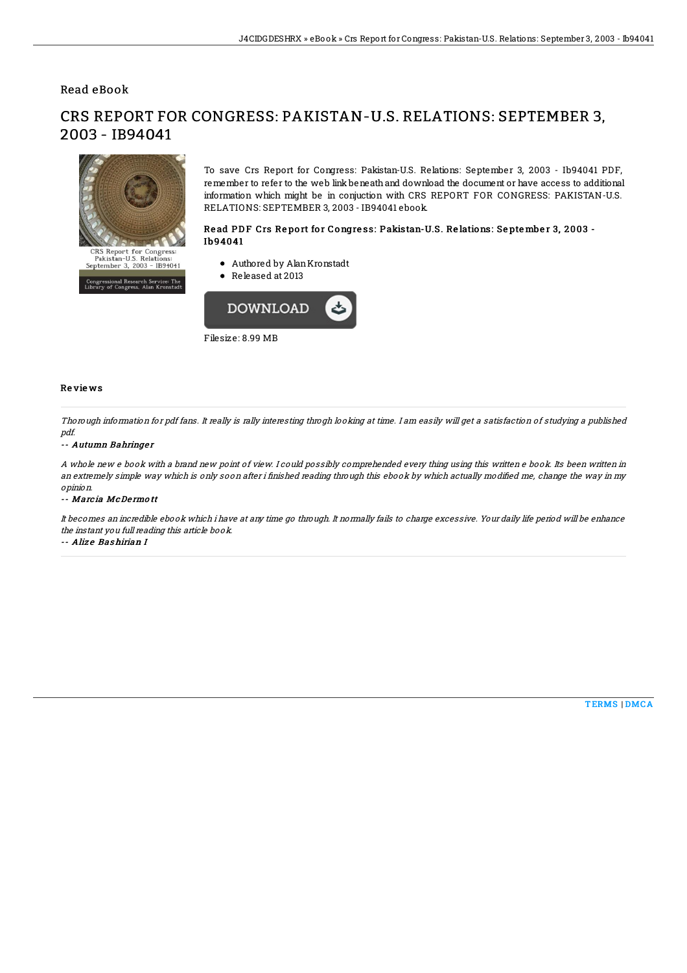## Read eBook



CRS REPORT FOR CONGRESS: PAKISTAN-U.S. RELATIONS: SEPTEMBER 3, 2003 - IB94041

.<br>Issional Research Service: The<br>∵of Congress, Alan Kronstadt

To save Crs Report for Congress: Pakistan-U.S. Relations: September 3, 2003 - Ib94041 PDF, remember to refer to the web link beneath and download the document or have access to additional information which might be in conjuction with CRS REPORT FOR CONGRESS: PAKISTAN-U.S. RELATIONS: SEPTEMBER 3, 2003 - IB94041 ebook.

### Read PDF Crs Report for Congress: Pakistan-U.S. Relations: September 3, 2003 -Ib94041

- Authored by AlanKronstadt
- Released at 2013



#### Re vie ws

Thorough information for pdf fans. It really is rally interesting throgh looking at time. I am easily will get <sup>a</sup> satisfaction of studying <sup>a</sup> published pdf.

#### -- Autumn Bahringer

A whole new <sup>e</sup> book with <sup>a</sup> brand new point of view. I could possibly comprehended every thing using this written <sup>e</sup> book. Its been written in an extremely simple way which is only soon after i finished reading through this ebook by which actually modified me, change the way in my opinion.

#### -- Marc ia McDe rmo tt

It becomes an incredible ebook which i have at any time go through. It normally fails to charge excessive. Your daily life period will be enhance the instant you full reading this article book.

-- Aliz e Bas hirian I